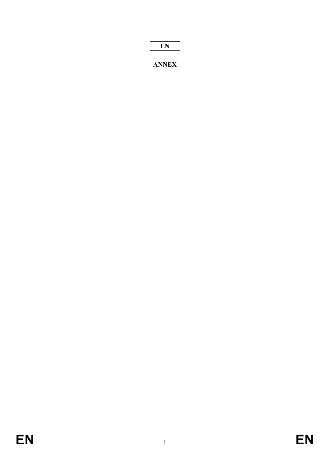|--|

**ANNEX**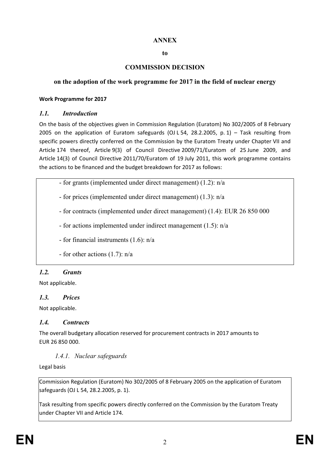#### **ANNEX**

#### **to**

## **COMMISSION DECISION**

#### **on the adoption of the work programme for 2017 in the field of nuclear energy**

#### **Work Programme for 2017**

#### *1.1. Introduction*

On the basis of the objectives given in Commission Regulation (Euratom) No 302/2005 of 8 February 2005 on the application of Euratom safeguards (OJ L 54, 28.2.2005, p. 1) – Task resulting from specific powers directly conferred on the Commission by the Euratom Treaty under Chapter VII and Article 174 thereof, Article 9(3) of Council Directive 2009/71/Euratom of 25 June 2009, and Article 14(3) of Council Directive 2011/70/Euratom of 19 July 2011, this work programme contains the actions to be financed and the budget breakdown for 2017 as follows:

- for grants (implemented under direct management) (1.2): n/a

- for prices (implemented under direct management) (1.3): n/a

- for contracts (implemented under direct management) (1.4): EUR 26 850 000

- for actions implemented under indirect management (1.5): n/a

- for financial instruments (1.6): n/a

- for other actions (1.7): n/a

## *1.2. Grants*

Not applicable.

## *1.3. Prices*

Not applicable.

## *1.4. Contracts*

The overall budgetary allocation reserved for procurement contracts in 2017 amounts to EUR 26 850 000.

*1.4.1. Nuclear safeguards*

Legal basis

Commission Regulation (Euratom) No 302/2005 of 8 February 2005 on the application of Euratom safeguards (OJ L 54, 28.2.2005, p. 1).

Task resulting from specific powers directly conferred on the Commission by the Euratom Treaty under Chapter VII and Article 174.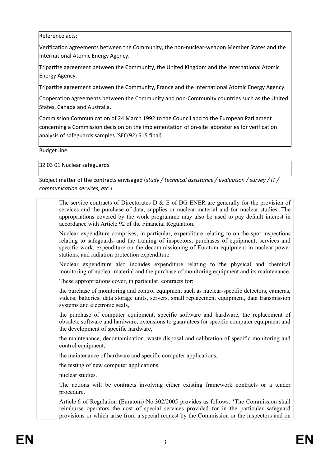Reference acts:

Verification agreements between the Community, the non-nuclear-weapon Member States and the International Atomic Energy Agency.

Tripartite agreement between the Community, the United Kingdom and the International Atomic Energy Agency.

Tripartite agreement between the Community, France and the International Atomic Energy Agency.

Cooperation agreements between the Community and non-Community countries such as the United States, Canada and Australia.

Commission Communication of 24 March 1992 to the Council and to the European Parliament concerning a Commission decision on the implementation of on-site laboratories for verification analysis of safeguards samples [SEC(92) 515 final].

Budget line

32 03 01 Nuclear safeguards

Subject matter of the contracts envisaged (*study / technical assistance / evaluation / survey / IT / communication services, etc.*)

The service contracts of Directorates D  $\&$  E of DG ENER are generally for the provision of services and the purchase of data, supplies or nuclear material and for nuclear studies. The appropriations covered by the work programme may also be used to pay default interest in accordance with Article 92 of the Financial Regulation.

Nuclear expenditure comprises, in particular, expenditure relating to on-the-spot inspections relating to safeguards and the training of inspectors, purchases of equipment, services and specific work, expenditure on the decommissioning of Euratom equipment in nuclear power stations, and radiation protection expenditure.

Nuclear expenditure also includes expenditure relating to the physical and chemical monitoring of nuclear material and the purchase of monitoring equipment and its maintenance.

These appropriations cover, in particular, contracts for:

the purchase of monitoring and control equipment such as nuclear-specific detectors, cameras, videos, batteries, data storage units, servers, small replacement equipment, data transmission systems and electronic seals,

the purchase of computer equipment, specific software and hardware, the replacement of obsolete software and hardware, extensions to guarantees for specific computer equipment and the development of specific hardware,

the maintenance, decontamination, waste disposal and calibration of specific monitoring and control equipment,

the maintenance of hardware and specific computer applications,

the testing of new computer applications,

nuclear studies.

The actions will be contracts involving either existing framework contracts or a tender procedure.

Article 6 of Regulation (Euratom) No 302/2005 provides as follows: 'The Commission shall reimburse operators the cost of special services provided for in the particular safeguard provisions or which arise from a special request by the Commission or the inspectors and on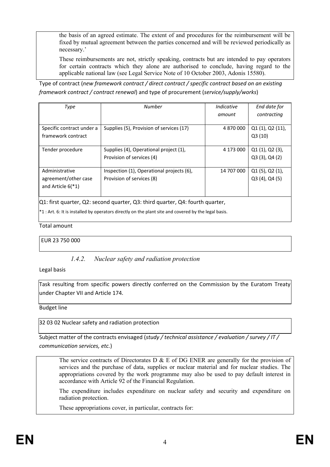the basis of an agreed estimate. The extent of and procedures for the reimbursement will be fixed by mutual agreement between the parties concerned and will be reviewed periodically as necessary.'

These reimbursements are not, strictly speaking, contracts but are intended to pay operators for certain contracts which they alone are authorised to conclude, having regard to the applicable national law (see Legal Service Note of 10 October 2003, Adonis 15580).

Type of contract (*new framework contract / direct contract / specific contract based on an existing framework contract / contract renewal*) and type of procurement (*service/supply/works*)

| Type                      | <b>Number</b>                             | Indicative | End date for        |
|---------------------------|-------------------------------------------|------------|---------------------|
|                           |                                           | amount     | contracting         |
|                           |                                           |            |                     |
| Specific contract under a | Supplies (5), Provision of services (17)  | 4 870 000  | Q1(1), Q2(11),      |
| framework contract        |                                           |            | Q3(10)              |
|                           |                                           |            |                     |
| Tender procedure          | Supplies (4), Operational project (1),    | 4 173 000  | Q1(1), Q2(3),       |
|                           | Provision of services (4)                 |            | $Q3(3)$ , $Q4(2)$   |
|                           |                                           |            |                     |
| Administrative            | Inspection (1), Operational projects (6), | 14 707 000 | $Q1(5)$ , $Q2(1)$ , |
| agreement/other case      | Provision of services (8)                 |            | $Q3(4)$ , $Q4(5)$   |
| and Article $6(*1)$       |                                           |            |                     |
|                           |                                           |            |                     |
|                           |                                           |            |                     |

Q1: first quarter, Q2: second quarter, Q3: third quarter, Q4: fourth quarter,

\*1 : Art. 6: It is installed by operators directly on the plant site and covered by the legal basis.

Total amount

EUR 23 750 000

## *1.4.2. Nuclear safety and radiation protection*

Legal basis

Task resulting from specific powers directly conferred on the Commission by the Euratom Treaty under Chapter VII and Article 174.

Budget line

32 03 02 Nuclear safety and radiation protection

Subject matter of the contracts envisaged (*study / technical assistance / evaluation / survey / IT / communication services, etc.*)

The service contracts of Directorates D  $\&$  E of DG ENER are generally for the provision of services and the purchase of data, supplies or nuclear material and for nuclear studies. The appropriations covered by the work programme may also be used to pay default interest in accordance with Article 92 of the Financial Regulation.

The expenditure includes expenditure on nuclear safety and security and expenditure on radiation protection.

These appropriations cover, in particular, contracts for: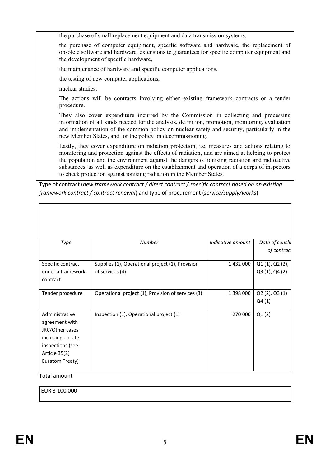the purchase of small replacement equipment and data transmission systems,

the purchase of computer equipment, specific software and hardware, the replacement of obsolete software and hardware, extensions to guarantees for specific computer equipment and the development of specific hardware,

the maintenance of hardware and specific computer applications,

the testing of new computer applications,

nuclear studies.

The actions will be contracts involving either existing framework contracts or a tender procedure.

They also cover expenditure incurred by the Commission in collecting and processing information of all kinds needed for the analysis, definition, promotion, monitoring, evaluation and implementation of the common policy on nuclear safety and security, particularly in the new Member States, and for the policy on decommissioning.

Lastly, they cover expenditure on radiation protection, i.e. measures and actions relating to monitoring and protection against the effects of radiation, and are aimed at helping to protect the population and the environment against the dangers of ionising radiation and radioactive substances, as well as expenditure on the establishment and operation of a corps of inspectors to check protection against ionising radiation in the Member States.

Type of contract (*new framework contract / direct contract / specific contract based on an existing framework contract / contract renewal*) and type of procurement (*service/supply/works*)

| Type              | Number                                             | Indicative amount | Date of conclu  |
|-------------------|----------------------------------------------------|-------------------|-----------------|
|                   |                                                    |                   | of contract     |
| Specific contract | Supplies (1), Operational project (1), Provision   | 1 432 000         | Q1 (1), Q2 (2), |
| under a framework | of services (4)                                    |                   | Q3 (1), Q4 (2)  |
| contract          |                                                    |                   |                 |
| Tender procedure  | Operational project (1), Provision of services (3) | 1 398 000         | Q2(2), Q3(1)    |
|                   |                                                    |                   | Q4(1)           |
| Administrative    | Inspection (1), Operational project (1)            | 270 000           | Q1(2)           |
| agreement with    |                                                    |                   |                 |
| JRC/Other cases   |                                                    |                   |                 |
| including on-site |                                                    |                   |                 |
| inspections (see  |                                                    |                   |                 |
| Article 35(2)     |                                                    |                   |                 |
| Euratom Treaty)   |                                                    |                   |                 |

Total amount

EUR 3 100 000